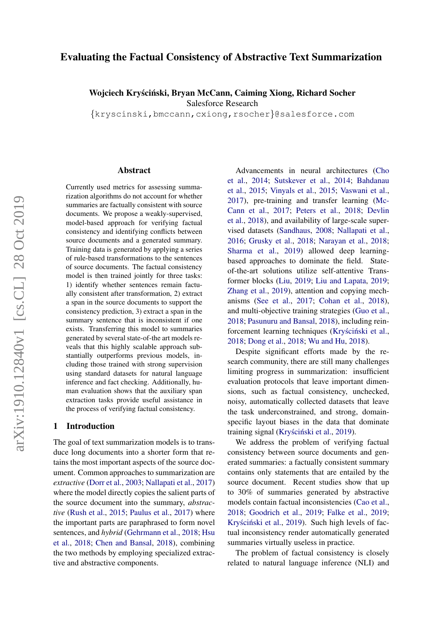# Evaluating the Factual Consistency of Abstractive Text Summarization

Wojciech Kryściński, Bryan McCann, Caiming Xiong, Richard Socher Salesforce Research

{kryscinski,bmccann,cxiong,rsocher}@salesforce.com

#### Abstract

Currently used metrics for assessing summarization algorithms do not account for whether summaries are factually consistent with source documents. We propose a weakly-supervised, model-based approach for verifying factual consistency and identifying conflicts between source documents and a generated summary. Training data is generated by applying a series of rule-based transformations to the sentences of source documents. The factual consistency model is then trained jointly for three tasks: 1) identify whether sentences remain factually consistent after transformation, 2) extract a span in the source documents to support the consistency prediction, 3) extract a span in the summary sentence that is inconsistent if one exists. Transferring this model to summaries generated by several state-of-the art models reveals that this highly scalable approach substantially outperforms previous models, including those trained with strong supervision using standard datasets for natural language inference and fact checking. Additionally, human evaluation shows that the auxiliary span extraction tasks provide useful assistance in the process of verifying factual consistency.

#### 1 Introduction

The goal of text summarization models is to transduce long documents into a shorter form that retains the most important aspects of the source document. Common approaches to summarization are *extractive* [\(Dorr et al.,](#page-8-0) [2003;](#page-8-0) [Nallapati et al.,](#page-9-0) [2017\)](#page-9-0) where the model directly copies the salient parts of the source document into the summary, *abstractive* [\(Rush et al.,](#page-10-0) [2015;](#page-10-0) [Paulus et al.,](#page-10-1) [2017\)](#page-10-1) where the important parts are paraphrased to form novel sentences, and *hybrid* [\(Gehrmann et al.,](#page-9-1) [2018;](#page-9-1) [Hsu](#page-9-2) [et al.,](#page-9-2) [2018;](#page-9-2) [Chen and Bansal,](#page-8-1) [2018\)](#page-8-1), combining the two methods by employing specialized extractive and abstractive components.

Advancements in neural architectures [\(Cho](#page-8-2) [et al.,](#page-8-2) [2014;](#page-8-2) [Sutskever et al.,](#page-10-2) [2014;](#page-10-2) [Bahdanau](#page-8-3) [et al.,](#page-8-3) [2015;](#page-8-3) [Vinyals et al.,](#page-10-3) [2015;](#page-10-3) [Vaswani et al.,](#page-10-4) [2017\)](#page-10-4), pre-training and transfer learning [\(Mc-](#page-9-3)[Cann et al.,](#page-9-3) [2017;](#page-9-3) [Peters et al.,](#page-10-5) [2018;](#page-10-5) [Devlin](#page-8-4) [et al.,](#page-8-4) [2018\)](#page-8-4), and availability of large-scale supervised datasets [\(Sandhaus,](#page-10-6) [2008;](#page-10-6) [Nallapati et al.,](#page-9-4) [2016;](#page-9-4) [Grusky et al.,](#page-9-5) [2018;](#page-9-5) [Narayan et al.,](#page-9-6) [2018;](#page-9-6) [Sharma et al.,](#page-10-7) [2019\)](#page-10-7) allowed deep learningbased approaches to dominate the field. Stateof-the-art solutions utilize self-attentive Transformer blocks [\(Liu,](#page-9-7) [2019;](#page-9-7) [Liu and Lapata,](#page-9-8) [2019;](#page-9-8) [Zhang et al.,](#page-10-8) [2019\)](#page-10-8), attention and copying mechanisms [\(See et al.,](#page-10-9) [2017;](#page-10-9) [Cohan et al.,](#page-8-5) [2018\)](#page-8-5), and multi-objective training strategies [\(Guo et al.,](#page-9-9) [2018;](#page-9-9) [Pasunuru and Bansal,](#page-9-10) [2018\)](#page-9-10), including reinforcement learning techniques (Kryściński et al., [2018;](#page-9-11) [Dong et al.,](#page-8-6) [2018;](#page-8-6) [Wu and Hu,](#page-10-10) [2018\)](#page-10-10).

Despite significant efforts made by the research community, there are still many challenges limiting progress in summarization: insufficient evaluation protocols that leave important dimensions, such as factual consistency, unchecked, noisy, automatically collected datasets that leave the task underconstrained, and strong, domainspecific layout biases in the data that dominate training signal (Kryściński et al., [2019\)](#page-9-12).

We address the problem of verifying factual consistency between source documents and generated summaries: a factually consistent summary contains only statements that are entailed by the source document. Recent studies show that up to 30% of summaries generated by abstractive models contain factual inconsistencies [\(Cao et al.,](#page-8-7) [2018;](#page-8-7) [Goodrich et al.,](#page-9-13) [2019;](#page-9-13) [Falke et al.,](#page-8-8) [2019;](#page-8-8) Kryściński et al., [2019\)](#page-9-12). Such high levels of factual inconsistency render automatically generated summaries virtually useless in practice.

The problem of factual consistency is closely related to natural language inference (NLI) and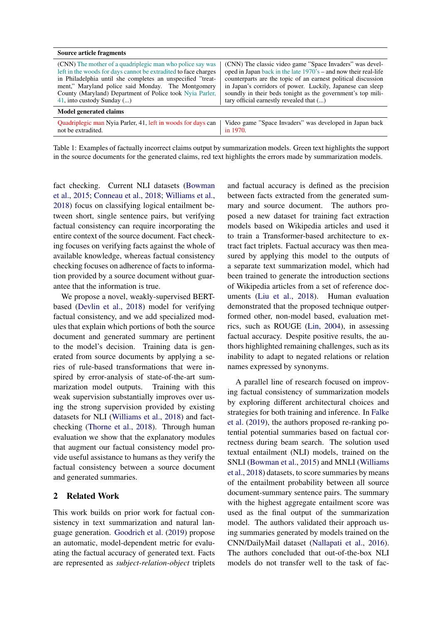| <b>Source article fragments</b>                                 |                                                                    |
|-----------------------------------------------------------------|--------------------------------------------------------------------|
| (CNN) The mother of a quadriplegic man who police say was       | (CNN) The classic video game "Space Invaders" was devel-           |
| left in the woods for days cannot be extradited to face charges | oped in Japan back in the late $1970$ 's – and now their real-life |
| in Philadelphia until she completes an unspecified "treat-      | counterparts are the topic of an earnest political discussion      |
| ment," Maryland police said Monday. The Montgomery              | in Japan's corridors of power. Luckily, Japanese can sleep         |
| County (Maryland) Department of Police took Nyia Parler,        | soundly in their beds tonight as the government's top mili-        |
| 41, into custody Sunday $()$                                    | tary official earnestly revealed that ()                           |
| <b>Model generated claims</b>                                   |                                                                    |
| Quadriplegic man Nyia Parler, 41, left in woods for days can    | Video game "Space Invaders" was developed in Japan back            |
| not be extradited.                                              | in 1970.                                                           |

Table 1: Examples of factually incorrect claims output by summarization models. Green text highlights the support in the source documents for the generated claims, red text highlights the errors made by summarization models.

fact checking. Current NLI datasets [\(Bowman](#page-8-9) [et al.,](#page-8-9) [2015;](#page-8-9) [Conneau et al.,](#page-8-10) [2018;](#page-8-10) [Williams et al.,](#page-10-11) [2018\)](#page-10-11) focus on classifying logical entailment between short, single sentence pairs, but verifying factual consistency can require incorporating the entire context of the source document. Fact checking focuses on verifying facts against the whole of available knowledge, whereas factual consistency checking focuses on adherence of facts to information provided by a source document without guarantee that the information is true.

We propose a novel, weakly-supervised BERTbased [\(Devlin et al.,](#page-8-4) [2018\)](#page-8-4) model for verifying factual consistency, and we add specialized modules that explain which portions of both the source document and generated summary are pertinent to the model's decision. Training data is generated from source documents by applying a series of rule-based transformations that were inspired by error-analysis of state-of-the-art summarization model outputs. Training with this weak supervision substantially improves over using the strong supervision provided by existing datasets for NLI [\(Williams et al.,](#page-10-11) [2018\)](#page-10-11) and factchecking [\(Thorne et al.,](#page-10-12) [2018\)](#page-10-12). Through human evaluation we show that the explanatory modules that augment our factual consistency model provide useful assistance to humans as they verify the factual consistency between a source document and generated summaries.

## 2 Related Work

This work builds on prior work for factual consistency in text summarization and natural language generation. [Goodrich et al.](#page-9-13) [\(2019\)](#page-9-13) propose an automatic, model-dependent metric for evaluating the factual accuracy of generated text. Facts are represented as *subject-relation-object* triplets

and factual accuracy is defined as the precision between facts extracted from the generated summary and source document. The authors proposed a new dataset for training fact extraction models based on Wikipedia articles and used it to train a Transformer-based architecture to extract fact triplets. Factual accuracy was then measured by applying this model to the outputs of a separate text summarization model, which had been trained to generate the introduction sections of Wikipedia articles from a set of reference documents [\(Liu et al.,](#page-9-14) [2018\)](#page-9-14). Human evaluation demonstrated that the proposed technique outperformed other, non-model based, evaluation metrics, such as ROUGE [\(Lin,](#page-9-15) [2004\)](#page-9-15), in assessing factual accuracy. Despite positive results, the authors highlighted remaining challenges, such as its inability to adapt to negated relations or relation names expressed by synonyms.

A parallel line of research focused on improving factual consistency of summarization models by exploring different architectural choices and strategies for both training and inference. In [Falke](#page-8-8) [et al.](#page-8-8) [\(2019\)](#page-8-8), the authors proposed re-ranking potential potential summaries based on factual correctness during beam search. The solution used textual entailment (NLI) models, trained on the SNLI [\(Bowman et al.,](#page-8-9) [2015\)](#page-8-9) and MNLI [\(Williams](#page-10-11) [et al.,](#page-10-11) [2018\)](#page-10-11) datasets, to score summaries by means of the entailment probability between all source document-summary sentence pairs. The summary with the highest aggregate entailment score was used as the final output of the summarization model. The authors validated their approach using summaries generated by models trained on the CNN/DailyMail dataset [\(Nallapati et al.,](#page-9-4) [2016\)](#page-9-4). The authors concluded that out-of-the-box NLI models do not transfer well to the task of fac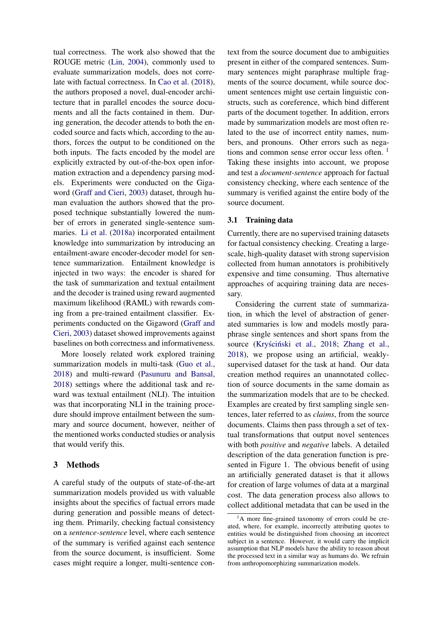tual correctness. The work also showed that the ROUGE metric [\(Lin,](#page-9-15) [2004\)](#page-9-15), commonly used to evaluate summarization models, does not correlate with factual correctness. In [Cao et al.](#page-8-7) [\(2018\)](#page-8-7), the authors proposed a novel, dual-encoder architecture that in parallel encodes the source documents and all the facts contained in them. During generation, the decoder attends to both the encoded source and facts which, according to the authors, forces the output to be conditioned on the both inputs. The facts encoded by the model are explicitly extracted by out-of-the-box open information extraction and a dependency parsing models. Experiments were conducted on the Gigaword [\(Graff and Cieri,](#page-9-16) [2003\)](#page-9-16) dataset, through human evaluation the authors showed that the proposed technique substantially lowered the number of errors in generated single-sentence summaries. [Li et al.](#page-9-17) [\(2018a\)](#page-9-17) incorporated entailment knowledge into summarization by introducing an entailment-aware encoder-decoder model for sentence summarization. Entailment knowledge is injected in two ways: the encoder is shared for the task of summarization and textual entailment and the decoder is trained using reward augmented maximum likelihood (RAML) with rewards coming from a pre-trained entailment classifier. Experiments conducted on the Gigaword [\(Graff and](#page-9-16) [Cieri,](#page-9-16) [2003\)](#page-9-16) dataset showed improvements against baselines on both correctness and informativeness.

More loosely related work explored training summarization models in multi-task [\(Guo et al.,](#page-9-9) [2018\)](#page-9-9) and multi-reward [\(Pasunuru and Bansal,](#page-9-10) [2018\)](#page-9-10) settings where the additional task and reward was textual entailment (NLI). The intuition was that incorporating NLI in the training procedure should improve entailment between the summary and source document, however, neither of the mentioned works conducted studies or analysis that would verify this.

## 3 Methods

A careful study of the outputs of state-of-the-art summarization models provided us with valuable insights about the specifics of factual errors made during generation and possible means of detecting them. Primarily, checking factual consistency on a *sentence-sentence* level, where each sentence of the summary is verified against each sentence from the source document, is insufficient. Some cases might require a longer, multi-sentence context from the source document due to ambiguities present in either of the compared sentences. Summary sentences might paraphrase multiple fragments of the source document, while source document sentences might use certain linguistic constructs, such as coreference, which bind different parts of the document together. In addition, errors made by summarization models are most often related to the use of incorrect entity names, numbers, and pronouns. Other errors such as nega-tions and common sense error occur less often. <sup>[1](#page-2-0)</sup> Taking these insights into account, we propose and test a *document-sentence* approach for factual consistency checking, where each sentence of the summary is verified against the entire body of the source document.

#### <span id="page-2-1"></span>3.1 Training data

Currently, there are no supervised training datasets for factual consistency checking. Creating a largescale, high-quality dataset with strong supervision collected from human annotators is prohibitively expensive and time consuming. Thus alternative approaches of acquiring training data are necessary.

Considering the current state of summarization, in which the level of abstraction of generated summaries is low and models mostly paraphrase single sentences and short spans from the source (Kryściński et al., [2018;](#page-9-11) [Zhang et al.,](#page-10-13) [2018\)](#page-10-13), we propose using an artificial, weaklysupervised dataset for the task at hand. Our data creation method requires an unannotated collection of source documents in the same domain as the summarization models that are to be checked. Examples are created by first sampling single sentences, later referred to as *claims*, from the source documents. Claims then pass through a set of textual transformations that output novel sentences with both *positive* and *negative* labels. A detailed description of the data generation function is presented in Figure [1.](#page-4-0) The obvious benefit of using an artificially generated dataset is that it allows for creation of large volumes of data at a marginal cost. The data generation process also allows to collect additional metadata that can be used in the

<span id="page-2-0"></span> ${}^{1}$ A more fine-grained taxonomy of errors could be created, where, for example, incorrectly attributing quotes to entities would be distinguished from choosing an incorrect subject in a sentence. However, it would carry the implicit assumption that NLP models have the ability to reason about the processed text in a similar way as humans do. We refrain from anthropomorphizing summarization models.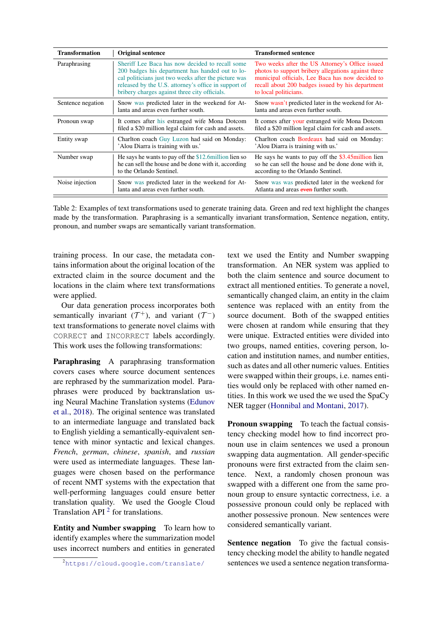<span id="page-3-1"></span>

| <b>Transformation</b> | <b>Original sentence</b>                                                                                                                                                                                                                                            | <b>Transformed sentence</b>                                                                                                                                                                                                             |
|-----------------------|---------------------------------------------------------------------------------------------------------------------------------------------------------------------------------------------------------------------------------------------------------------------|-----------------------------------------------------------------------------------------------------------------------------------------------------------------------------------------------------------------------------------------|
| Paraphrasing          | Sheriff Lee Baca has now decided to recall some<br>200 badges his department has handed out to lo-<br>cal politicians just two weeks after the picture was<br>released by the U.S. attorney's office in support of<br>bribery charges against three city officials. | Two weeks after the US Attorney's Office issued<br>photos to support bribery allegations against three<br>municipal officials, Lee Baca has now decided to<br>recall about 200 badges issued by his department<br>to local politicians. |
| Sentence negation     | Snow was predicted later in the weekend for At-<br>lanta and areas even further south.                                                                                                                                                                              | Snow wasn't predicted later in the weekend for At-<br>lanta and areas even further south.                                                                                                                                               |
| Pronoun swap          | It comes after his estranged wife Mona Dotcom<br>filed a \$20 million legal claim for cash and assets.                                                                                                                                                              | It comes after your estranged wife Mona Dotcom<br>filed a \$20 million legal claim for cash and assets.                                                                                                                                 |
| Entity swap           | Charlton coach Guy Luzon had said on Monday:<br>'Alou Diarra is training with us.'                                                                                                                                                                                  | Charlton coach Bordeaux had said on Monday:<br>'Alou Diarra is training with us.'                                                                                                                                                       |
| Number swap           | He says he wants to pay off the $$12.6$ million lien so<br>he can sell the house and be done with it, according<br>to the Orlando Sentinel.                                                                                                                         | He says he wants to pay off the $$3.45$ million lien<br>so he can sell the house and be done done with it,<br>according to the Orlando Sentinel.                                                                                        |
| Noise injection       | Snow was predicted later in the weekend for At-<br>lanta and areas even further south.                                                                                                                                                                              | Snow was was predicted later in the weekend for<br>Atlanta and areas even further south.                                                                                                                                                |

Table 2: Examples of text transformations used to generate training data. Green and red text highlight the changes made by the transformation. Paraphrasing is a semantically invariant transformation, Sentence negation, entity, pronoun, and number swaps are semantically variant transformation.

training process. In our case, the metadata contains information about the original location of the extracted claim in the source document and the locations in the claim where text transformations were applied.

Our data generation process incorporates both semantically invariant  $(T^+)$ , and variant  $(T^-)$ text transformations to generate novel claims with CORRECT and INCORRECT labels accordingly. This work uses the following transformations:

Paraphrasing A paraphrasing transformation covers cases where source document sentences are rephrased by the summarization model. Paraphrases were produced by backtranslation using Neural Machine Translation systems [\(Edunov](#page-8-11) [et al.,](#page-8-11) [2018\)](#page-8-11). The original sentence was translated to an intermediate language and translated back to English yielding a semantically-equivalent sentence with minor syntactic and lexical changes. *French*, *german*, *chinese*, *spanish*, and *russian* were used as intermediate languages. These languages were chosen based on the performance of recent NMT systems with the expectation that well-performing languages could ensure better translation quality. We used the Google Cloud Translation API $<sup>2</sup>$  $<sup>2</sup>$  $<sup>2</sup>$  for translations.</sup>

Entity and Number swapping To learn how to identify examples where the summarization model uses incorrect numbers and entities in generated text we used the Entity and Number swapping transformation. An NER system was applied to both the claim sentence and source document to extract all mentioned entities. To generate a novel, semantically changed claim, an entity in the claim sentence was replaced with an entity from the source document. Both of the swapped entities were chosen at random while ensuring that they were unique. Extracted entities were divided into two groups, named entities, covering person, location and institution names, and number entities, such as dates and all other numeric values. Entities were swapped within their groups, i.e. names entities would only be replaced with other named entities. In this work we used the we used the SpaCy NER tagger [\(Honnibal and Montani,](#page-9-18) [2017\)](#page-9-18).

Pronoun swapping To teach the factual consistency checking model how to find incorrect pronoun use in claim sentences we used a pronoun swapping data augmentation. All gender-specific pronouns were first extracted from the claim sentence. Next, a randomly chosen pronoun was swapped with a different one from the same pronoun group to ensure syntactic correctness, i.e. a possessive pronoun could only be replaced with another possessive pronoun. New sentences were considered semantically variant.

Sentence negation To give the factual consistency checking model the ability to handle negated sentences we used a sentence negation transforma-

<span id="page-3-0"></span><sup>2</sup><https://cloud.google.com/translate/>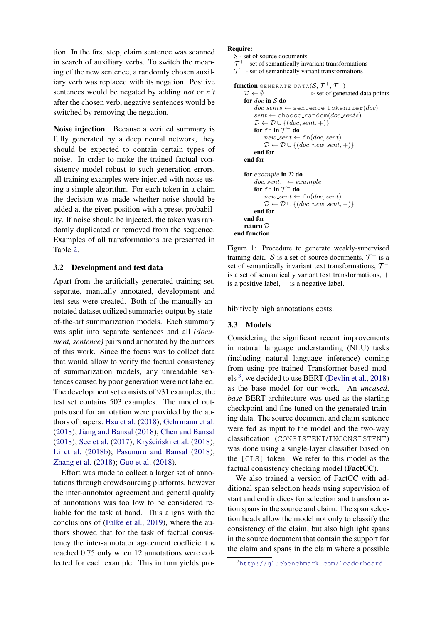tion. In the first step, claim sentence was scanned in search of auxiliary verbs. To switch the meaning of the new sentence, a randomly chosen auxiliary verb was replaced with its negation. Positive sentences would be negated by adding *not* or *n't* after the chosen verb, negative sentences would be switched by removing the negation.

Noise injection Because a verified summary is fully generated by a deep neural network, they should be expected to contain certain types of noise. In order to make the trained factual consistency model robust to such generation errors, all training examples were injected with noise using a simple algorithm. For each token in a claim the decision was made whether noise should be added at the given position with a preset probability. If noise should be injected, the token was randomly duplicated or removed from the sequence. Examples of all transformations are presented in Table [2.](#page-3-1)

#### <span id="page-4-2"></span>3.2 Development and test data

Apart from the artificially generated training set, separate, manually annotated, development and test sets were created. Both of the manually annotated dataset utilized summaries output by stateof-the-art summarization models. Each summary was split into separate sentences and all *(document, sentence)* pairs and annotated by the authors of this work. Since the focus was to collect data that would allow to verify the factual consistency of summarization models, any unreadable sentences caused by poor generation were not labeled. The development set consists of 931 examples, the test set contains 503 examples. The model outputs used for annotation were provided by the authors of papers: [Hsu et al.](#page-9-2) [\(2018\)](#page-9-2); [Gehrmann et al.](#page-9-1) [\(2018\)](#page-9-1); [Jiang and Bansal](#page-9-19) [\(2018\)](#page-9-19); [Chen and Bansal](#page-8-1) [\(2018\)](#page-9-11); [See et al.](#page-10-9) [\(2017\)](#page-10-9); Kryściński et al.  $(2018)$ ; [Li et al.](#page-9-20) [\(2018b\)](#page-9-20); [Pasunuru and Bansal](#page-9-10) [\(2018\)](#page-9-10); [Zhang et al.](#page-10-13) [\(2018\)](#page-10-13); [Guo et al.](#page-9-9) [\(2018\)](#page-9-9).

Effort was made to collect a larger set of annotations through crowdsourcing platforms, however the inter-annotator agreement and general quality of annotations was too low to be considered reliable for the task at hand. This aligns with the conclusions of [\(Falke et al.,](#page-8-8) [2019\)](#page-8-8), where the authors showed that for the task of factual consistency the inter-annotator agreement coefficient  $\kappa$ reached 0.75 only when 12 annotations were collected for each example. This in turn yields pro-

#### <span id="page-4-0"></span>Require:

```
S - set of source documents
```

```
\mathcal{T}^+ - set of semantically invariant transformations
```

```
\mathcal{T}^- - set of semantically variant transformations
```

```
function generate_data(\mathcal{S}, \mathcal{T}^+, \mathcal{T}^-)
     \mathcal{D} \leftarrow \emptyset b set of generated data points
     for doc in S do
           doc\_sents \leftarrow sentence_tokenizer(doc)
           sent \leftarrow \text{choose.random}(doc\_sents)\mathcal{D} \leftarrow \mathcal{D} \cup \{ (doc, sent, +) \}for \mathrm{fn} in \check{\mathcal{T}}^+ do
                new\_\text{sent} \leftarrow \text{fn}(doc, sent)\mathcal{D} \leftarrow \mathcal{D} \cup \{ (doc, new\_sent, +) \}end for
     end for
     for example in D do
           doc, sent, _- \leftarrow examplefor \bm{\mathrm{f}}n in \bm{\mathcal{T}}^- do
                new\_\textit{sent} \leftarrow \text{fn}(doc, sent)\mathcal{D} \leftarrow \mathcal{D} \cup \{ (doc, new\_sent, -) \}end for
     end for
     return D
end function
```
Figure 1: Procedure to generate weakly-supervised training data. S is a set of source documents,  $\mathcal{T}^+$  is a set of semantically invariant text transformations,  $\mathcal{T}^$ is a set of semantically variant text transformations,  $+$ is a positive label,  $-$  is a negative label.

hibitively high annotations costs.

### 3.3 Models

Considering the significant recent improvements in natural language understanding (NLU) tasks (including natural language inference) coming from using pre-trained Transformer-based mod-els<sup>[3](#page-4-1)</sup>, we decided to use BERT [\(Devlin et al.,](#page-8-4) [2018\)](#page-8-4) as the base model for our work. An *uncased*, *base* BERT architecture was used as the starting checkpoint and fine-tuned on the generated training data. The source document and claim sentence were fed as input to the model and the two-way classification (CONSISTENT/INCONSISTENT) was done using a single-layer classifier based on the [CLS] token. We refer to this model as the factual consistency checking model (FactCC).

We also trained a version of FactCC with additional span selection heads using supervision of start and end indices for selection and transformation spans in the source and claim. The span selection heads allow the model not only to classify the consistency of the claim, but also highlight spans in the source document that contain the support for the claim and spans in the claim where a possible

<span id="page-4-1"></span><sup>3</sup><http://gluebenchmark.com/leaderboard>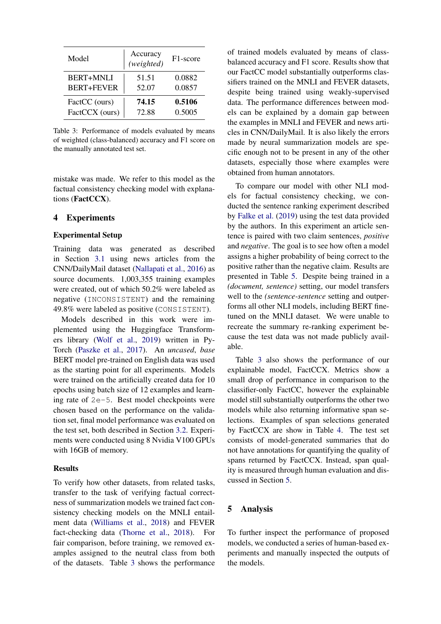<span id="page-5-0"></span>

| Model             | Accuracy<br>(weighted) | F <sub>1</sub> -score |
|-------------------|------------------------|-----------------------|
| <b>BERT+MNLI</b>  | 51.51                  | 0.0882                |
| <b>BERT+FEVER</b> | 52.07                  | 0.0857                |
| FactCC (ours)     | 74.15                  | 0.5106                |
| FactCCX (ours)    | 72.88                  | 0.5005                |

Table 3: Performance of models evaluated by means of weighted (class-balanced) accuracy and F1 score on the manually annotated test set.

mistake was made. We refer to this model as the factual consistency checking model with explanations (FactCCX).

#### 4 Experiments

### Experimental Setup

Training data was generated as described in Section [3.1](#page-2-1) using news articles from the CNN/DailyMail dataset [\(Nallapati et al.,](#page-9-4) [2016\)](#page-9-4) as source documents. 1,003,355 training examples were created, out of which 50.2% were labeled as negative (INCONSISTENT) and the remaining 49.8% were labeled as positive (CONSISTENT).

Models described in this work were implemented using the Huggingface Transformers library [\(Wolf et al.,](#page-10-14) [2019\)](#page-10-14) written in Py-Torch [\(Paszke et al.,](#page-9-21) [2017\)](#page-9-21). An *uncased*, *base* BERT model pre-trained on English data was used as the starting point for all experiments. Models were trained on the artificially created data for 10 epochs using batch size of 12 examples and learning rate of 2e-5. Best model checkpoints were chosen based on the performance on the validation set, final model performance was evaluated on the test set, both described in Section [3.2.](#page-4-2) Experiments were conducted using 8 Nvidia V100 GPUs with 16GB of memory.

#### Results

To verify how other datasets, from related tasks, transfer to the task of verifying factual correctness of summarization models we trained fact consistency checking models on the MNLI entailment data [\(Williams et al.,](#page-10-11) [2018\)](#page-10-11) and FEVER fact-checking data [\(Thorne et al.,](#page-10-12) [2018\)](#page-10-12). For fair comparison, before training, we removed examples assigned to the neutral class from both of the datasets. Table [3](#page-5-0) shows the performance of trained models evaluated by means of classbalanced accuracy and F1 score. Results show that our FactCC model substantially outperforms classifiers trained on the MNLI and FEVER datasets, despite being trained using weakly-supervised data. The performance differences between models can be explained by a domain gap between the examples in MNLI and FEVER and news articles in CNN/DailyMail. It is also likely the errors made by neural summarization models are specific enough not to be present in any of the other datasets, especially those where examples were obtained from human annotators.

To compare our model with other NLI models for factual consistency checking, we conducted the sentence ranking experiment described by [Falke et al.](#page-8-8) [\(2019\)](#page-8-8) using the test data provided by the authors. In this experiment an article sentence is paired with two claim sentences, *positive* and *negative*. The goal is to see how often a model assigns a higher probability of being correct to the positive rather than the negative claim. Results are presented in Table [5.](#page-6-0) Despite being trained in a *(document, sentence)* setting, our model transfers well to the *(sentence-sentence* setting and outperforms all other NLI models, including BERT finetuned on the MNLI dataset. We were unable to recreate the summary re-ranking experiment because the test data was not made publicly available.

Table [3](#page-5-0) also shows the performance of our explainable model, FactCCX. Metrics show a small drop of performance in comparison to the classifier-only FactCC, however the explainable model still substantially outperforms the other two models while also returning informative span selections. Examples of span selections generated by FactCCX are show in Table [4.](#page-6-1) The test set consists of model-generated summaries that do not have annotations for quantifying the quality of spans returned by FactCCX. Instead, span quality is measured through human evaluation and discussed in Section [5.](#page-5-1)

## <span id="page-5-1"></span>5 Analysis

To further inspect the performance of proposed models, we conducted a series of human-based experiments and manually inspected the outputs of the models.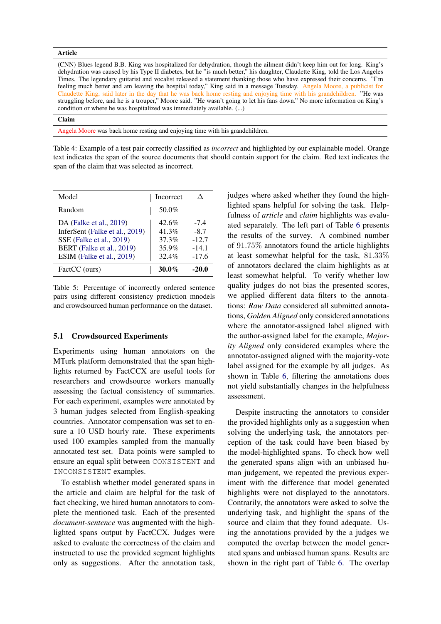#### <span id="page-6-1"></span>Article

(CNN) Blues legend B.B. King was hospitalized for dehydration, though the ailment didn't keep him out for long. King's dehydration was caused by his Type II diabetes, but he "is much better," his daughter, Claudette King, told the Los Angeles Times. The legendary guitarist and vocalist released a statement thanking those who have expressed their concerns. "I'm feeling much better and am leaving the hospital today," King said in a message Tuesday. Angela Moore, a publicist for Claudette King, said later in the day that he was back home resting and enjoying time with his grandchildren. "He was struggling before, and he is a trouper," Moore said. "He wasn't going to let his fans down." No more information on King's condition or where he was hospitalized was immediately available. (...)

#### Claim

Angela Moore was back home resting and enjoying time with his grandchildren.

Table 4: Example of a test pair correctly classified as *incorrect* and highlighted by our explainable model. Orange text indicates the span of the source documents that should contain support for the claim. Red text indicates the span of the claim that was selected as incorrect.

<span id="page-6-0"></span>

| Model                                                                                                                                           | Incorrect                                 |                                                   |
|-------------------------------------------------------------------------------------------------------------------------------------------------|-------------------------------------------|---------------------------------------------------|
| Random                                                                                                                                          | 50.0%                                     |                                                   |
| DA (Falke et al., 2019)<br>InferSent (Falke et al., 2019)<br>SSE (Falke et al., 2019)<br>BERT (Falke et al., 2019)<br>ESIM (Falke et al., 2019) | 42.6%<br>41.3%<br>37.3%<br>35.9%<br>32.4% | $-7.4$<br>$-8.7$<br>$-12.7$<br>$-14.1$<br>$-17.6$ |
| FactCC (ours)                                                                                                                                   | $30.0\%$                                  | $-20.0$                                           |

Table 5: Percentage of incorrectly ordered sentence pairs using different consistency prediction mnodels and crowdsourced human performance on the dataset.

#### 5.1 Crowdsourced Experiments

Experiments using human annotators on the MTurk platform demonstrated that the span highlights returned by FactCCX are useful tools for researchers and crowdsource workers manually assessing the factual consistency of summaries. For each experiment, examples were annotated by 3 human judges selected from English-speaking countries. Annotator compensation was set to ensure a 10 USD hourly rate. These experiments used 100 examples sampled from the manually annotated test set. Data points were sampled to ensure an equal split between CONSISTENT and INCONSISTENT examples.

To establish whether model generated spans in the article and claim are helpful for the task of fact checking, we hired human annotators to complete the mentioned task. Each of the presented *document-sentence* was augmented with the highlighted spans output by FactCCX. Judges were asked to evaluate the correctness of the claim and instructed to use the provided segment highlights only as suggestions. After the annotation task, judges where asked whether they found the highlighted spans helpful for solving the task. Helpfulness of *article* and *claim* highlights was evaluated separately. The left part of Table [6](#page-7-0) presents the results of the survey. A combined number of 91.75% annotators found the article highlights at least somewhat helpful for the task, 81.33% of annotators declared the claim highlights as at least somewhat helpful. To verify whether low quality judges do not bias the presented scores, we applied different data filters to the annotations: *Raw Data* considered all submitted annotations, *Golden Aligned* only considered annotations where the annotator-assigned label aligned with the author-assigned label for the example, *Majority Aligned* only considered examples where the annotator-assigned aligned with the majority-vote label assigned for the example by all judges. As shown in Table [6,](#page-7-0) filtering the annotations does not yield substantially changes in the helpfulness assessment.

Despite instructing the annotators to consider the provided highlights only as a suggestion when solving the underlying task, the annotators perception of the task could have been biased by the model-highlighted spans. To check how well the generated spans align with an unbiased human judgement, we repeated the previous experiment with the difference that model generated highlights were not displayed to the annotators. Contrarily, the annotators were asked to solve the underlying task, and highlight the spans of the source and claim that they found adequate. Using the annotations provided by the a judges we computed the overlap between the model generated spans and unbiased human spans. Results are shown in the right part of Table [6.](#page-7-0) The overlap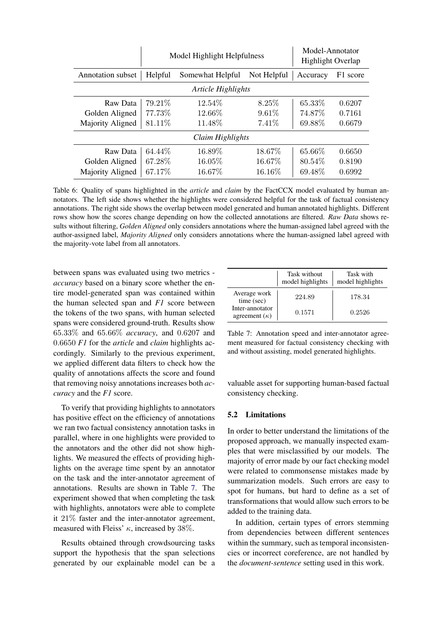<span id="page-7-0"></span>

|                          | Model Highlight Helpfulness |                  | Model-Annotator<br><b>Highlight Overlap</b> |          |          |
|--------------------------|-----------------------------|------------------|---------------------------------------------|----------|----------|
| <b>Annotation</b> subset | Helpful                     | Somewhat Helpful | Not Helpful                                 | Accuracy | F1 score |
| Article Highlights       |                             |                  |                                             |          |          |
| Raw Data                 | 79.21\%                     | 12.54\%          | 8.25\%                                      | 65.33%   | 0.6207   |
| Golden Aligned           | 77.73%                      | 12.66\%          | $9.61\%$                                    | 74.87%   | 0.7161   |
| Majority Aligned         | 81.11%                      | 11.48%           | $7.41\%$                                    | 69.88%   | 0.6679   |
| Claim Highlights         |                             |                  |                                             |          |          |
| Raw Data                 | 64.44\%                     | 16.89\%          | 18.67\%                                     | 65.66%   | 0.6650   |
| Golden Aligned           | 67.28\%                     | 16.05%           | 16.67%                                      | 80.54\%  | 0.8190   |
| Majority Aligned         | 67.17%                      | 16.67%           | 16.16\%                                     | 69.48\%  | 0.6992   |

Table 6: Quality of spans highlighted in the *article* and *claim* by the FactCCX model evaluated by human annotators. The left side shows whether the highlights were considered helpful for the task of factual consistency annotations. The right side shows the overlap between model generated and human annotated highlights. Different rows show how the scores change depending on how the collected annotations are filtered. *Raw Data* shows results without filtering, *Golden Aligned* only considers annotations where the human-assigned label agreed with the author-assigned label, *Majority Aligned* only considers annotations where the human-assigned label agreed with the majority-vote label from all annotators.

between spans was evaluated using two metrics *accuracy* based on a binary score whether the entire model-generated span was contained within the human selected span and *F1* score between the tokens of the two spans, with human selected spans were considered ground-truth. Results show 65.33% and 65.66% *accuracy*, and 0.6207 and 0.6650 *F1* for the *article* and *claim* highlights accordingly. Similarly to the previous experiment, we applied different data filters to check how the quality of annotations affects the score and found that removing noisy annotations increases both *accuracy* and the *F1* score.

To verify that providing highlights to annotators has positive effect on the efficiency of annotations we ran two factual consistency annotation tasks in parallel, where in one highlights were provided to the annotators and the other did not show highlights. We measured the effects of providing highlights on the average time spent by an annotator on the task and the inter-annotator agreement of annotations. Results are shown in Table [7.](#page-7-1) The experiment showed that when completing the task with highlights, annotators were able to complete it 21% faster and the inter-annotator agreement, measured with Fleiss'  $\kappa$ , increased by 38%.

Results obtained through crowdsourcing tasks support the hypothesis that the span selections generated by our explainable model can be a

<span id="page-7-1"></span>

|                                         | Task without<br>model highlights | Task with<br>model highlights |
|-----------------------------------------|----------------------------------|-------------------------------|
| Average work<br>time (sec)              | 224.89                           | 178.34                        |
| Inter-annotator<br>agreement $(\kappa)$ | 0.1571                           | 0.2526                        |

Table 7: Annotation speed and inter-annotator agreement measured for factual consistency checking with and without assisting, model generated highlights.

valuable asset for supporting human-based factual consistency checking.

### <span id="page-7-2"></span>5.2 Limitations

In order to better understand the limitations of the proposed approach, we manually inspected examples that were misclassified by our models. The majority of error made by our fact checking model were related to commonsense mistakes made by summarization models. Such errors are easy to spot for humans, but hard to define as a set of transformations that would allow such errors to be added to the training data.

In addition, certain types of errors stemming from dependencies between different sentences within the summary, such as temporal inconsistencies or incorrect coreference, are not handled by the *document-sentence* setting used in this work.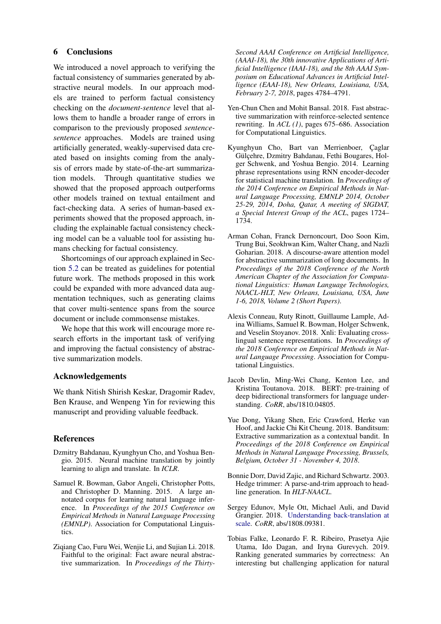### 6 Conclusions

We introduced a novel approach to verifying the factual consistency of summaries generated by abstractive neural models. In our approach models are trained to perform factual consistency checking on the *document-sentence* level that allows them to handle a broader range of errors in comparison to the previously proposed *sentencesentence* approaches. Models are trained using artificially generated, weakly-supervised data created based on insights coming from the analysis of errors made by state-of-the-art summarization models. Through quantitative studies we showed that the proposed approach outperforms other models trained on textual entailment and fact-checking data. A series of human-based experiments showed that the proposed approach, including the explainable factual consistency checking model can be a valuable tool for assisting humans checking for factual consistency.

Shortcomings of our approach explained in Section [5.2](#page-7-2) can be treated as guidelines for potential future work. The methods proposed in this work could be expanded with more advanced data augmentation techniques, such as generating claims that cover multi-sentence spans from the source document or include commonsense mistakes.

We hope that this work will encourage more research efforts in the important task of verifying and improving the factual consistency of abstractive summarization models.

### Acknowledgements

We thank Nitish Shirish Keskar, Dragomir Radev, Ben Krause, and Wenpeng Yin for reviewing this manuscript and providing valuable feedback.

### References

- <span id="page-8-3"></span>Dzmitry Bahdanau, Kyunghyun Cho, and Yoshua Bengio. 2015. Neural machine translation by jointly learning to align and translate. In *ICLR*.
- <span id="page-8-9"></span>Samuel R. Bowman, Gabor Angeli, Christopher Potts, and Christopher D. Manning. 2015. A large annotated corpus for learning natural language inference. In *Proceedings of the 2015 Conference on Empirical Methods in Natural Language Processing (EMNLP)*. Association for Computational Linguistics.
- <span id="page-8-7"></span>Ziqiang Cao, Furu Wei, Wenjie Li, and Sujian Li. 2018. Faithful to the original: Fact aware neural abstractive summarization. In *Proceedings of the Thirty-*

*Second AAAI Conference on Artificial Intelligence, (AAAI-18), the 30th innovative Applications of Artificial Intelligence (IAAI-18), and the 8th AAAI Symposium on Educational Advances in Artificial Intelligence (EAAI-18), New Orleans, Louisiana, USA, February 2-7, 2018*, pages 4784–4791.

- <span id="page-8-1"></span>Yen-Chun Chen and Mohit Bansal. 2018. Fast abstractive summarization with reinforce-selected sentence rewriting. In *ACL (1)*, pages 675–686. Association for Computational Linguistics.
- <span id="page-8-2"></span>Kyunghyun Cho, Bart van Merrienboer, Caglar Gülçehre, Dzmitry Bahdanau, Fethi Bougares, Holger Schwenk, and Yoshua Bengio. 2014. Learning phrase representations using RNN encoder-decoder for statistical machine translation. In *Proceedings of the 2014 Conference on Empirical Methods in Natural Language Processing, EMNLP 2014, October 25-29, 2014, Doha, Qatar, A meeting of SIGDAT, a Special Interest Group of the ACL*, pages 1724– 1734.
- <span id="page-8-5"></span>Arman Cohan, Franck Dernoncourt, Doo Soon Kim, Trung Bui, Seokhwan Kim, Walter Chang, and Nazli Goharian. 2018. A discourse-aware attention model for abstractive summarization of long documents. In *Proceedings of the 2018 Conference of the North American Chapter of the Association for Computational Linguistics: Human Language Technologies, NAACL-HLT, New Orleans, Louisiana, USA, June 1-6, 2018, Volume 2 (Short Papers)*.
- <span id="page-8-10"></span>Alexis Conneau, Ruty Rinott, Guillaume Lample, Adina Williams, Samuel R. Bowman, Holger Schwenk, and Veselin Stoyanov. 2018. Xnli: Evaluating crosslingual sentence representations. In *Proceedings of the 2018 Conference on Empirical Methods in Natural Language Processing*. Association for Computational Linguistics.
- <span id="page-8-4"></span>Jacob Devlin, Ming-Wei Chang, Kenton Lee, and Kristina Toutanova. 2018. BERT: pre-training of deep bidirectional transformers for language understanding. *CoRR*, abs/1810.04805.
- <span id="page-8-6"></span>Yue Dong, Yikang Shen, Eric Crawford, Herke van Hoof, and Jackie Chi Kit Cheung. 2018. Banditsum: Extractive summarization as a contextual bandit. In *Proceedings of the 2018 Conference on Empirical Methods in Natural Language Processing, Brussels, Belgium, October 31 - November 4, 2018*.
- <span id="page-8-0"></span>Bonnie Dorr, David Zajic, and Richard Schwartz. 2003. Hedge trimmer: A parse-and-trim approach to headline generation. In *HLT-NAACL*.
- <span id="page-8-11"></span>Sergey Edunov, Myle Ott, Michael Auli, and David Grangier. 2018. [Understanding back-translation at](http://arxiv.org/abs/1808.09381) [scale.](http://arxiv.org/abs/1808.09381) *CoRR*, abs/1808.09381.
- <span id="page-8-8"></span>Tobias Falke, Leonardo F. R. Ribeiro, Prasetya Ajie Utama, Ido Dagan, and Iryna Gurevych. 2019. Ranking generated summaries by correctness: An interesting but challenging application for natural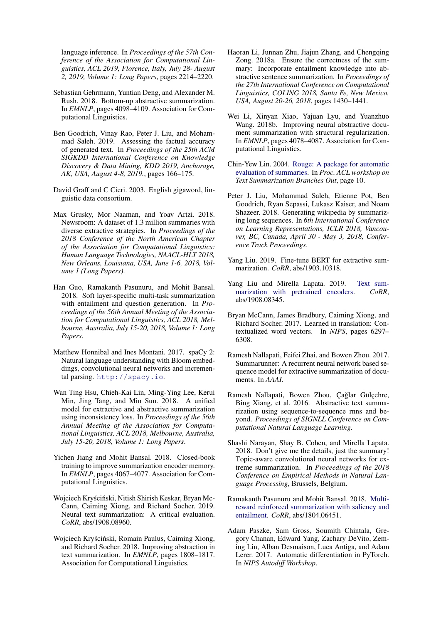language inference. In *Proceedings of the 57th Conference of the Association for Computational Linguistics, ACL 2019, Florence, Italy, July 28- August 2, 2019, Volume 1: Long Papers*, pages 2214–2220.

- <span id="page-9-1"></span>Sebastian Gehrmann, Yuntian Deng, and Alexander M. Rush. 2018. Bottom-up abstractive summarization. In *EMNLP*, pages 4098–4109. Association for Computational Linguistics.
- <span id="page-9-13"></span>Ben Goodrich, Vinay Rao, Peter J. Liu, and Mohammad Saleh. 2019. Assessing the factual accuracy of generated text. In *Proceedings of the 25th ACM SIGKDD International Conference on Knowledge Discovery & Data Mining, KDD 2019, Anchorage, AK, USA, August 4-8, 2019.*, pages 166–175.
- <span id="page-9-16"></span>David Graff and C Cieri. 2003. English gigaword, linguistic data consortium.
- <span id="page-9-5"></span>Max Grusky, Mor Naaman, and Yoav Artzi. 2018. Newsroom: A dataset of 1.3 million summaries with diverse extractive strategies. In *Proceedings of the 2018 Conference of the North American Chapter of the Association for Computational Linguistics: Human Language Technologies, NAACL-HLT 2018, New Orleans, Louisiana, USA, June 1-6, 2018, Volume 1 (Long Papers)*.
- <span id="page-9-9"></span>Han Guo, Ramakanth Pasunuru, and Mohit Bansal. 2018. Soft layer-specific multi-task summarization with entailment and question generation. In *Proceedings of the 56th Annual Meeting of the Association for Computational Linguistics, ACL 2018, Melbourne, Australia, July 15-20, 2018, Volume 1: Long Papers*.
- <span id="page-9-18"></span>Matthew Honnibal and Ines Montani. 2017. spaCy 2: Natural language understanding with Bloom embeddings, convolutional neural networks and incremental parsing. <http://spacy.io>.
- <span id="page-9-2"></span>Wan Ting Hsu, Chieh-Kai Lin, Ming-Ying Lee, Kerui Min, Jing Tang, and Min Sun. 2018. A unified model for extractive and abstractive summarization using inconsistency loss. In *Proceedings of the 56th Annual Meeting of the Association for Computational Linguistics, ACL 2018, Melbourne, Australia, July 15-20, 2018, Volume 1: Long Papers*.
- <span id="page-9-19"></span>Yichen Jiang and Mohit Bansal. 2018. Closed-book training to improve summarization encoder memory. In *EMNLP*, pages 4067–4077. Association for Computational Linguistics.
- <span id="page-9-12"></span>Wojciech Kryściński, Nitish Shirish Keskar, Bryan Mc-Cann, Caiming Xiong, and Richard Socher. 2019. Neural text summarization: A critical evaluation. *CoRR*, abs/1908.08960.
- <span id="page-9-11"></span>Wojciech Kryściński, Romain Paulus, Caiming Xiong, and Richard Socher. 2018. Improving abstraction in text summarization. In *EMNLP*, pages 1808–1817. Association for Computational Linguistics.
- <span id="page-9-17"></span>Haoran Li, Junnan Zhu, Jiajun Zhang, and Chengqing Zong. 2018a. Ensure the correctness of the summary: Incorporate entailment knowledge into abstractive sentence summarization. In *Proceedings of the 27th International Conference on Computational Linguistics, COLING 2018, Santa Fe, New Mexico, USA, August 20-26, 2018*, pages 1430–1441.
- <span id="page-9-20"></span>Wei Li, Xinyan Xiao, Yajuan Lyu, and Yuanzhuo Wang. 2018b. Improving neural abstractive document summarization with structural regularization. In *EMNLP*, pages 4078–4087. Association for Computational Linguistics.
- <span id="page-9-15"></span>Chin-Yew Lin. 2004. [Rouge: A package for automatic](http://research.microsoft.com/~cyl/download/papers/WAS2004.pdf) [evaluation of summaries.](http://research.microsoft.com/~cyl/download/papers/WAS2004.pdf) In *Proc. ACL workshop on Text Summarization Branches Out*, page 10.
- <span id="page-9-14"></span>Peter J. Liu, Mohammad Saleh, Etienne Pot, Ben Goodrich, Ryan Sepassi, Lukasz Kaiser, and Noam Shazeer. 2018. Generating wikipedia by summarizing long sequences. In *6th International Conference on Learning Representations, ICLR 2018, Vancouver, BC, Canada, April 30 - May 3, 2018, Conference Track Proceedings*.
- <span id="page-9-7"></span>Yang Liu. 2019. Fine-tune BERT for extractive summarization. *CoRR*, abs/1903.10318.
- <span id="page-9-8"></span>Yang Liu and Mirella Lapata. 2019. [Text sum](http://arxiv.org/abs/1908.08345)[marization with pretrained encoders.](http://arxiv.org/abs/1908.08345) *CoRR*, abs/1908.08345.
- <span id="page-9-3"></span>Bryan McCann, James Bradbury, Caiming Xiong, and Richard Socher. 2017. Learned in translation: Contextualized word vectors. In *NIPS*, pages 6297– 6308.
- <span id="page-9-0"></span>Ramesh Nallapati, Feifei Zhai, and Bowen Zhou. 2017. Summarunner: A recurrent neural network based sequence model for extractive summarization of documents. In *AAAI*.
- <span id="page-9-4"></span>Ramesh Nallapati, Bowen Zhou, Çağlar Gülçehre, Bing Xiang, et al. 2016. Abstractive text summarization using sequence-to-sequence rnns and beyond. *Proceedings of SIGNLL Conference on Computational Natural Language Learning*.
- <span id="page-9-6"></span>Shashi Narayan, Shay B. Cohen, and Mirella Lapata. 2018. Don't give me the details, just the summary! Topic-aware convolutional neural networks for extreme summarization. In *Proceedings of the 2018 Conference on Empirical Methods in Natural Language Processing*, Brussels, Belgium.
- <span id="page-9-10"></span>Ramakanth Pasunuru and Mohit Bansal. 2018. [Multi](http://arxiv.org/abs/1804.06451)[reward reinforced summarization with saliency and](http://arxiv.org/abs/1804.06451) [entailment.](http://arxiv.org/abs/1804.06451) *CoRR*, abs/1804.06451.
- <span id="page-9-21"></span>Adam Paszke, Sam Gross, Soumith Chintala, Gregory Chanan, Edward Yang, Zachary DeVito, Zeming Lin, Alban Desmaison, Luca Antiga, and Adam Lerer. 2017. Automatic differentiation in PyTorch. In *NIPS Autodiff Workshop*.